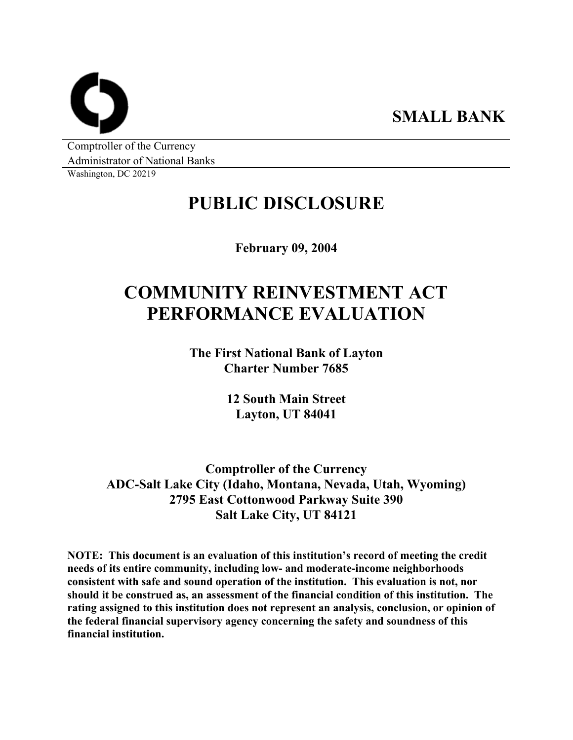**SMALL BANK** 

Comptroller of the Currency Administrator of National Banks

Washington, DC 20219

## **PUBLIC DISCLOSURE**

**February 09, 2004** 

# **COMMUNITY REINVESTMENT ACT PERFORMANCE EVALUATION**

**The First National Bank of Layton Charter Number 7685** 

> **12 South Main Street Layton, UT 84041**

**Comptroller of the Currency ADC-Salt Lake City (Idaho, Montana, Nevada, Utah, Wyoming) 2795 East Cottonwood Parkway Suite 390 Salt Lake City, UT 84121** 

**NOTE: This document is an evaluation of this institution's record of meeting the credit needs of its entire community, including low- and moderate-income neighborhoods consistent with safe and sound operation of the institution. This evaluation is not, nor should it be construed as, an assessment of the financial condition of this institution. The rating assigned to this institution does not represent an analysis, conclusion, or opinion of the federal financial supervisory agency concerning the safety and soundness of this financial institution.**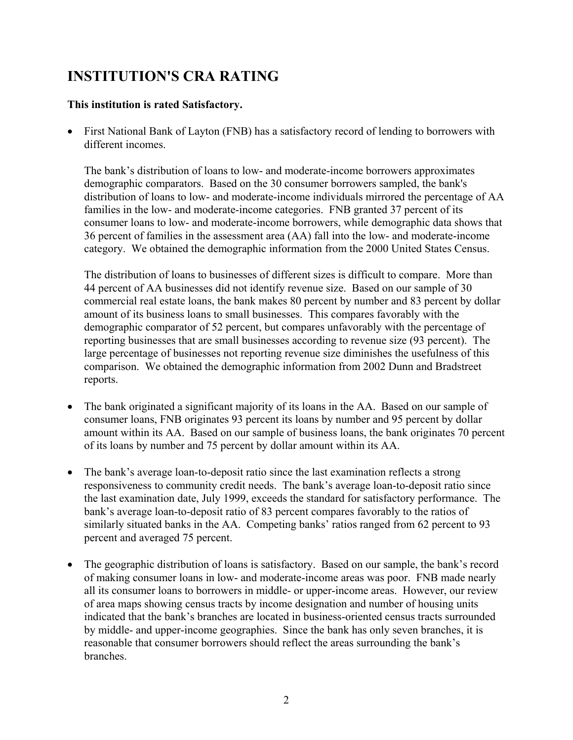### **INSTITUTION'S CRA RATING**

#### **This institution is rated Satisfactory.**

• First National Bank of Layton (FNB) has a satisfactory record of lending to borrowers with different incomes.

The bank's distribution of loans to low- and moderate-income borrowers approximates demographic comparators. Based on the 30 consumer borrowers sampled, the bank's distribution of loans to low- and moderate-income individuals mirrored the percentage of AA families in the low- and moderate-income categories. FNB granted 37 percent of its consumer loans to low- and moderate-income borrowers, while demographic data shows that 36 percent of families in the assessment area (AA) fall into the low- and moderate-income category. We obtained the demographic information from the 2000 United States Census.

The distribution of loans to businesses of different sizes is difficult to compare. More than 44 percent of AA businesses did not identify revenue size. Based on our sample of 30 commercial real estate loans, the bank makes 80 percent by number and 83 percent by dollar amount of its business loans to small businesses. This compares favorably with the demographic comparator of 52 percent, but compares unfavorably with the percentage of reporting businesses that are small businesses according to revenue size (93 percent). The large percentage of businesses not reporting revenue size diminishes the usefulness of this comparison. We obtained the demographic information from 2002 Dunn and Bradstreet reports.

- The bank originated a significant majority of its loans in the AA. Based on our sample of consumer loans, FNB originates 93 percent its loans by number and 95 percent by dollar amount within its AA. Based on our sample of business loans, the bank originates 70 percent of its loans by number and 75 percent by dollar amount within its AA.  $\bullet$
- $\bullet$ The bank's average loan-to-deposit ratio since the last examination reflects a strong responsiveness to community credit needs. The bank's average loan-to-deposit ratio since the last examination date, July 1999, exceeds the standard for satisfactory performance. The bank's average loan-to-deposit ratio of 83 percent compares favorably to the ratios of similarly situated banks in the AA. Competing banks' ratios ranged from 62 percent to 93 percent and averaged 75 percent.
- The geographic distribution of loans is satisfactory. Based on our sample, the bank's record of making consumer loans in low- and moderate-income areas was poor. FNB made nearly all its consumer loans to borrowers in middle- or upper-income areas. However, our review of area maps showing census tracts by income designation and number of housing units indicated that the bank's branches are located in business-oriented census tracts surrounded by middle- and upper-income geographies. Since the bank has only seven branches, it is reasonable that consumer borrowers should reflect the areas surrounding the bank's branches.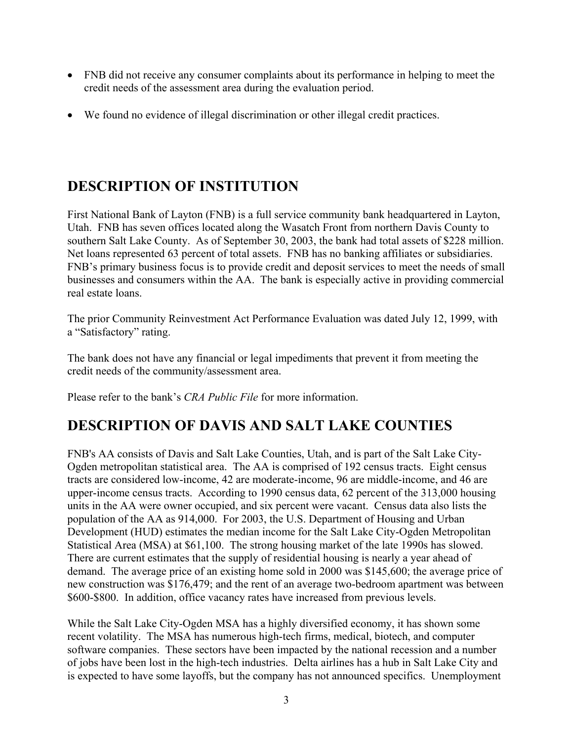- FNB did not receive any consumer complaints about its performance in helping to meet the credit needs of the assessment area during the evaluation period.
- We found no evidence of illegal discrimination or other illegal credit practices.

### **DESCRIPTION OF INSTITUTION**

First National Bank of Layton (FNB) is a full service community bank headquartered in Layton, Utah. FNB has seven offices located along the Wasatch Front from northern Davis County to southern Salt Lake County. As of September 30, 2003, the bank had total assets of \$228 million. Net loans represented 63 percent of total assets. FNB has no banking affiliates or subsidiaries. FNB's primary business focus is to provide credit and deposit services to meet the needs of small businesses and consumers within the AA. The bank is especially active in providing commercial real estate loans.

The prior Community Reinvestment Act Performance Evaluation was dated July 12, 1999, with a "Satisfactory" rating.

The bank does not have any financial or legal impediments that prevent it from meeting the credit needs of the community/assessment area.

Please refer to the bank's *CRA Public File* for more information.

### **DESCRIPTION OF DAVIS AND SALT LAKE COUNTIES**

FNB's AA consists of Davis and Salt Lake Counties, Utah, and is part of the Salt Lake City-Ogden metropolitan statistical area. The AA is comprised of 192 census tracts. Eight census tracts are considered low-income, 42 are moderate-income, 96 are middle-income, and 46 are upper-income census tracts. According to 1990 census data, 62 percent of the 313,000 housing units in the AA were owner occupied, and six percent were vacant. Census data also lists the population of the AA as 914,000. For 2003, the U.S. Department of Housing and Urban Development (HUD) estimates the median income for the Salt Lake City-Ogden Metropolitan Statistical Area (MSA) at \$61,100. The strong housing market of the late 1990s has slowed. There are current estimates that the supply of residential housing is nearly a year ahead of demand. The average price of an existing home sold in 2000 was \$145,600; the average price of new construction was \$176,479; and the rent of an average two-bedroom apartment was between \$600-\$800. In addition, office vacancy rates have increased from previous levels.

While the Salt Lake City-Ogden MSA has a highly diversified economy, it has shown some recent volatility. The MSA has numerous high-tech firms, medical, biotech, and computer software companies. These sectors have been impacted by the national recession and a number of jobs have been lost in the high-tech industries. Delta airlines has a hub in Salt Lake City and is expected to have some layoffs, but the company has not announced specifics. Unemployment